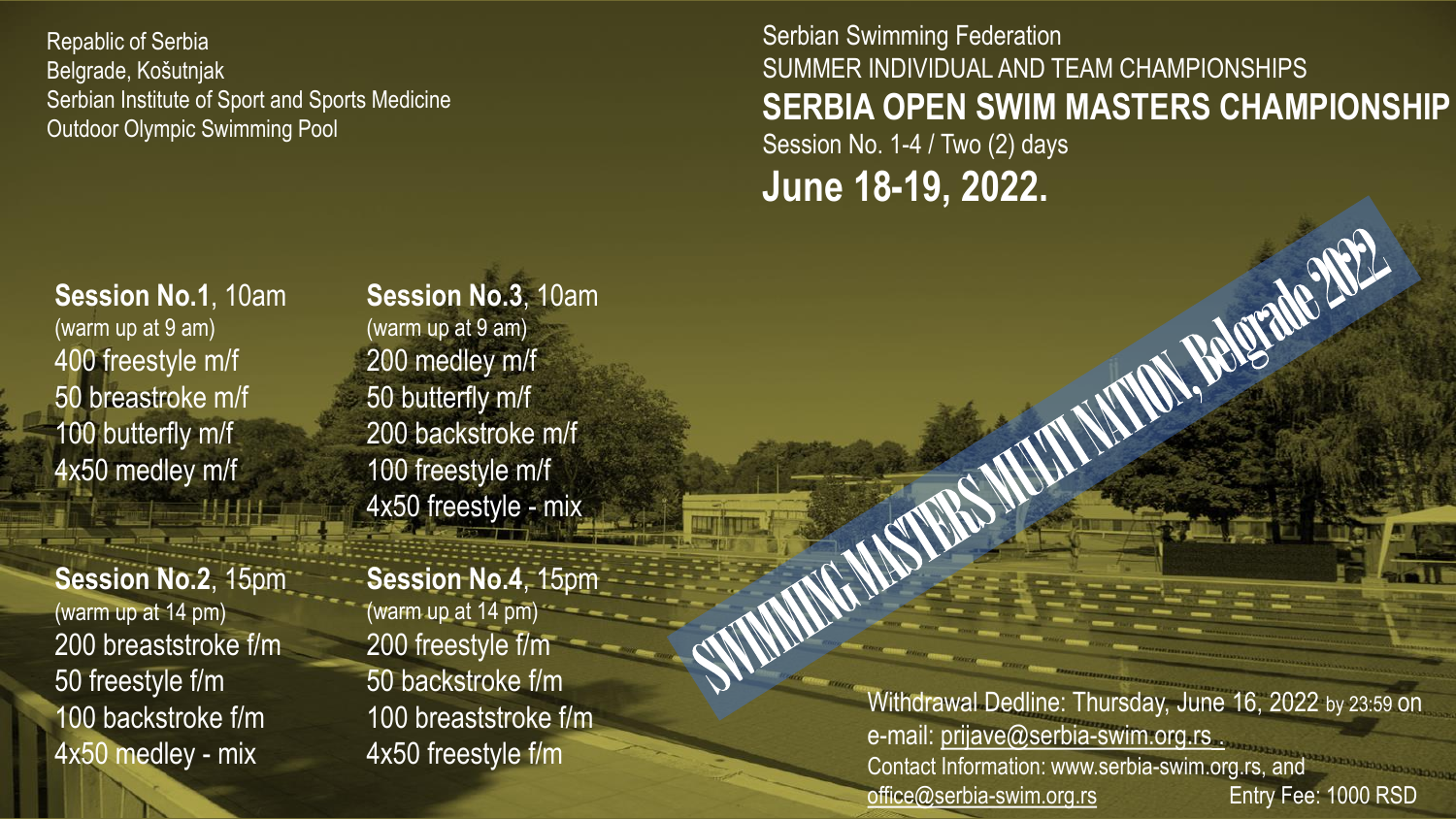Repablic of Serbia Belgrade, Košutnjak Serbian Institute of Sport and Sports Medicine Outdoor Olympic Swimming Pool

Serbian Swimming Federation SUMMER INDIVIDUAL AND TEAM CHAMPIONSHIPS **SERBIA OPEN SWIM MASTERS CHAMPIONSHIP** Session No. 1-4 / Two (2) days **June 18-19, 2022.**

N. BACTERIE 2002

**Session No.1**, 10am (warm up at 9 am) 400 freestyle m/f 50 breastroke m/f 100 butterfly m/f 4x50 medley m/f

**Session No.2**, 15pm (warm up at 14 pm) 200 breaststroke f/m 50 freestyle f/m 100 backstroke f/m 4x50 medley - mix

**Session No.3**, 10am (warm up at 9 am) 200 medley m/f 50 butterfly m/f 200 backstroke m/f 100 freestyle m/f 4x50 freestyle - mix

**Session No.4**, 15pm (warm up at 14 pm) 200 freestyle f/m 50 backstroke f/m 100 breaststroke f/m 4x50 freestyle f/m

Withdrawal Dedline: Thursday, June 16, 2022 by 23:59 on e-mail: [prijave@serbia-swim.org.rs](mailto:prijave@serbia-swim.org.rs) . Contact Information: www.serbia-swim.org.rs, and [office@serbia-swim.org.rs](mailto:office@serbia-swim.org.rs) Entry Fee: 1000 RSD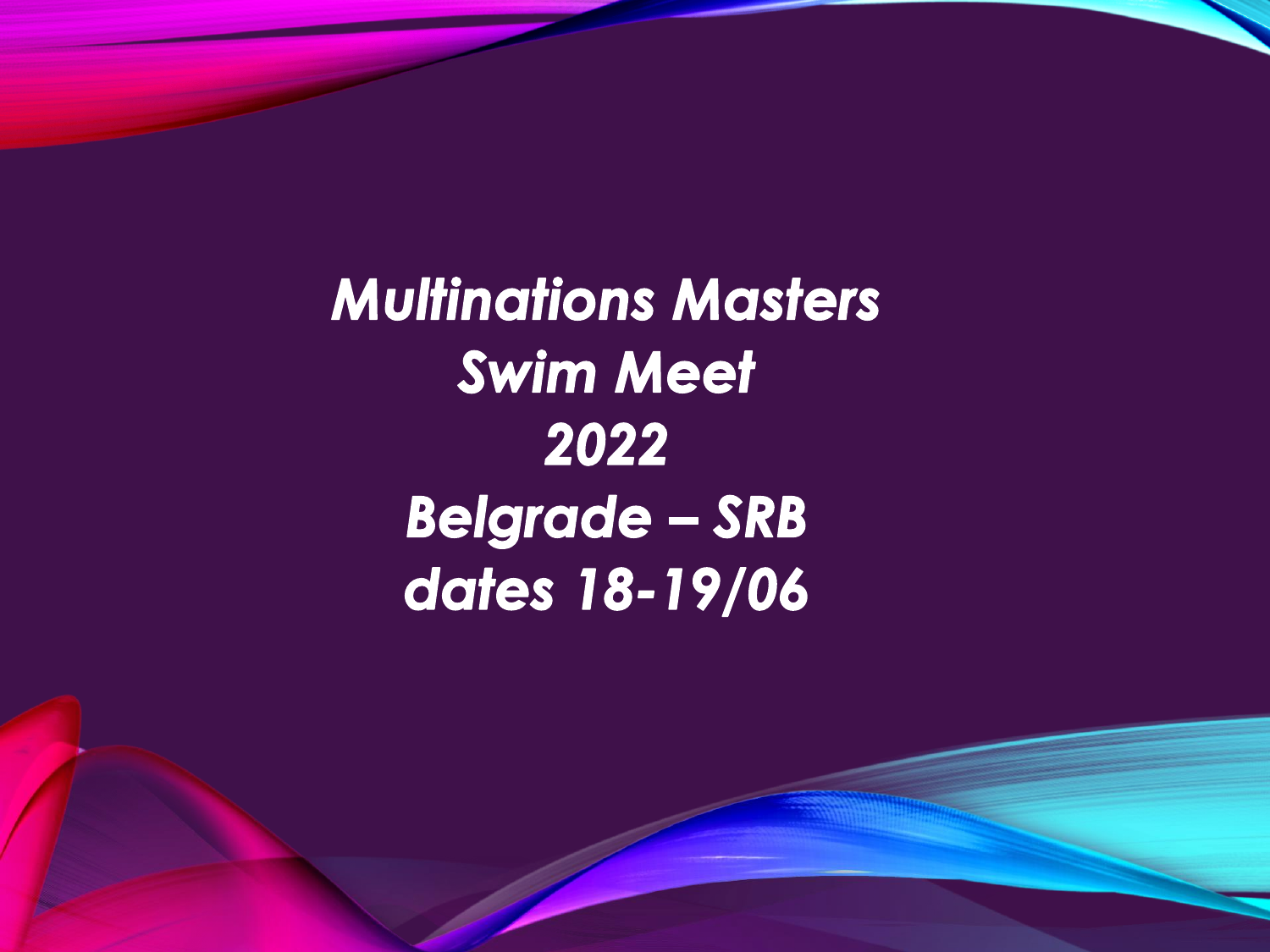**Multinations Masters Swim Meet** 2022 **Belgrade - SRB** dates 18-19/06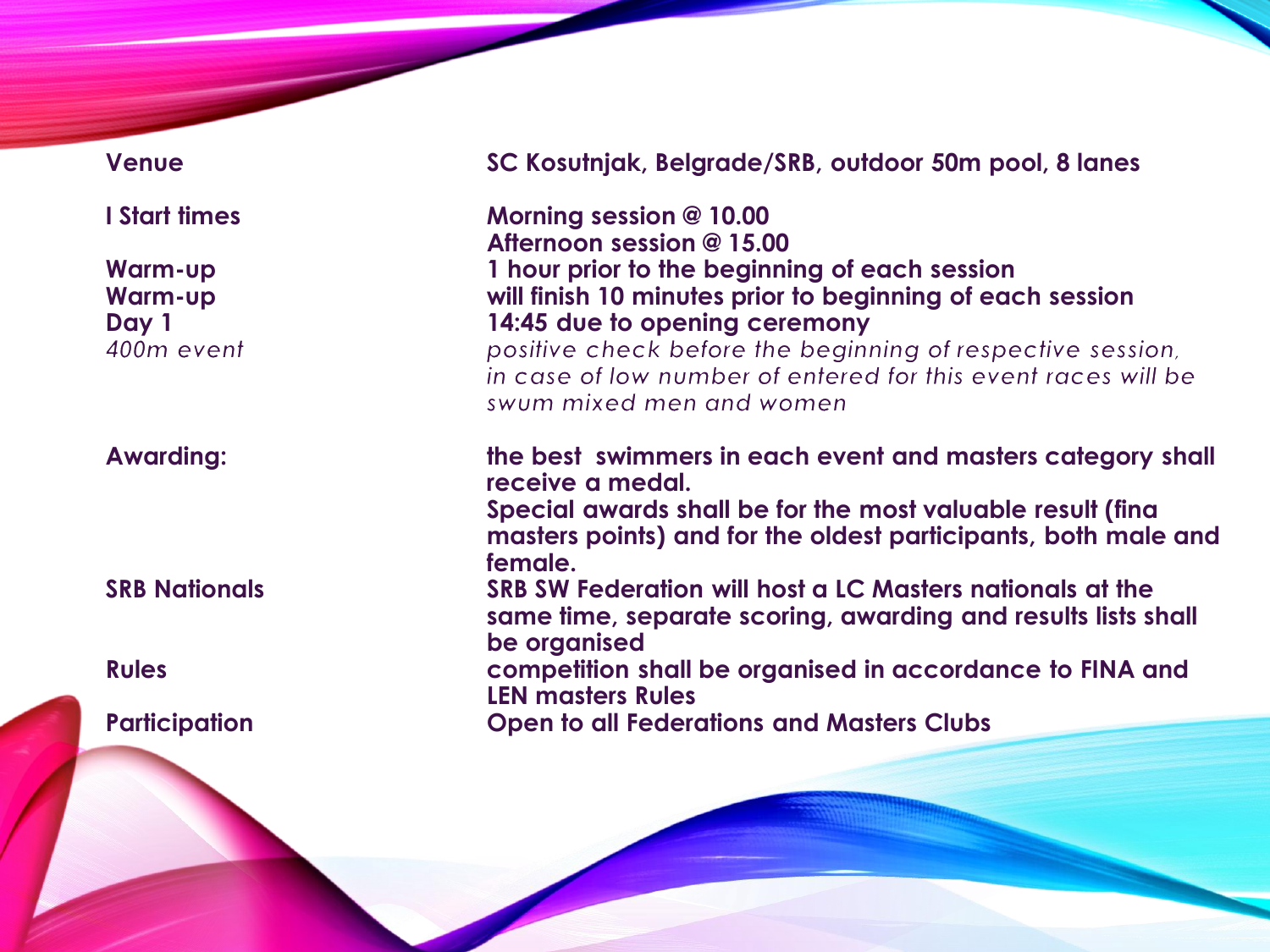| <b>Venue</b>                                            | SC Kosutnjak, Belgrade/SRB, outdoor 50m pool, 8 lanes                                                                                                                                                                                                                                                  |  |  |
|---------------------------------------------------------|--------------------------------------------------------------------------------------------------------------------------------------------------------------------------------------------------------------------------------------------------------------------------------------------------------|--|--|
| I Start times                                           | Morning session @ 10.00<br>Afternoon session @ 15.00                                                                                                                                                                                                                                                   |  |  |
| <b>Warm-up</b><br><b>Warm-up</b><br>Day 1<br>400m event | 1 hour prior to the beginning of each session<br>will finish 10 minutes prior to beginning of each session<br>14:45 due to opening ceremony<br>positive check before the beginning of respective session,<br>in case of low number of entered for this event races will be<br>swum mixed men and women |  |  |
| <b>Awarding:</b>                                        | the best swimmers in each event and masters category shall<br>receive a medal.<br>Special awards shall be for the most valuable result (fina<br>masters points) and for the oldest participants, both male and                                                                                         |  |  |
| <b>SRB Nationals</b>                                    | female.<br>SRB SW Federation will host a LC Masters nationals at the<br>same time, separate scoring, awarding and results lists shall<br>be organised                                                                                                                                                  |  |  |
| <b>Rules</b>                                            | competition shall be organised in accordance to FINA and<br><b>LEN masters Rules</b>                                                                                                                                                                                                                   |  |  |
| <b>Participation</b>                                    | <b>Open to all Federations and Masters Clubs</b>                                                                                                                                                                                                                                                       |  |  |
|                                                         |                                                                                                                                                                                                                                                                                                        |  |  |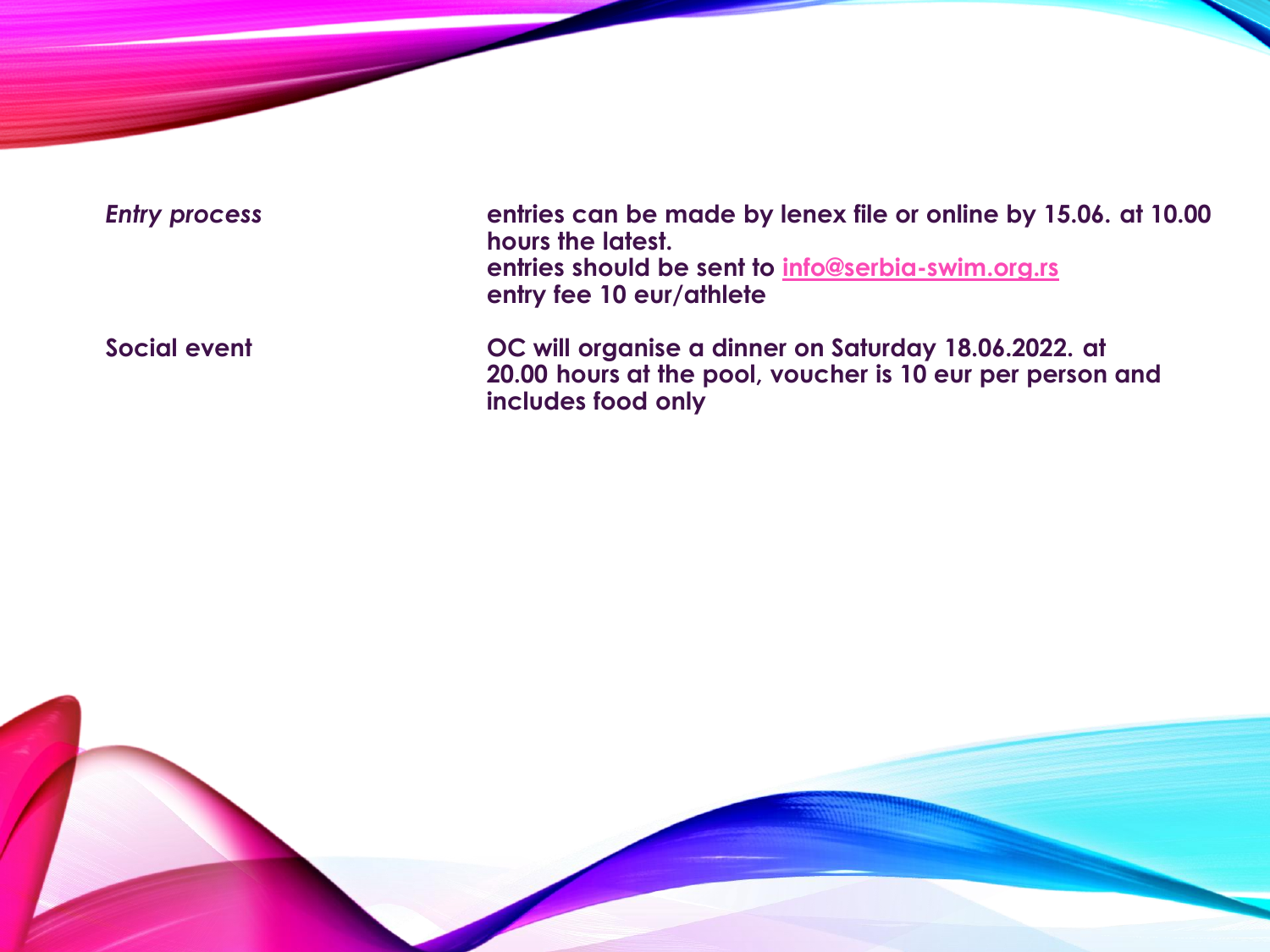| <b>Entry process</b> | entries can be made by lenex file or online by 15.06. at 10.00<br>hours the latest.<br>entries should be sent to info@serbia-swim.org.rs<br>entry fee 10 eur/athlete |
|----------------------|----------------------------------------------------------------------------------------------------------------------------------------------------------------------|
| Social event         | OC will organise a dinner on Saturday 18.06.2022. at<br>20.00 hours at the pool, voucher is 10 eur per person and<br>includes food only                              |